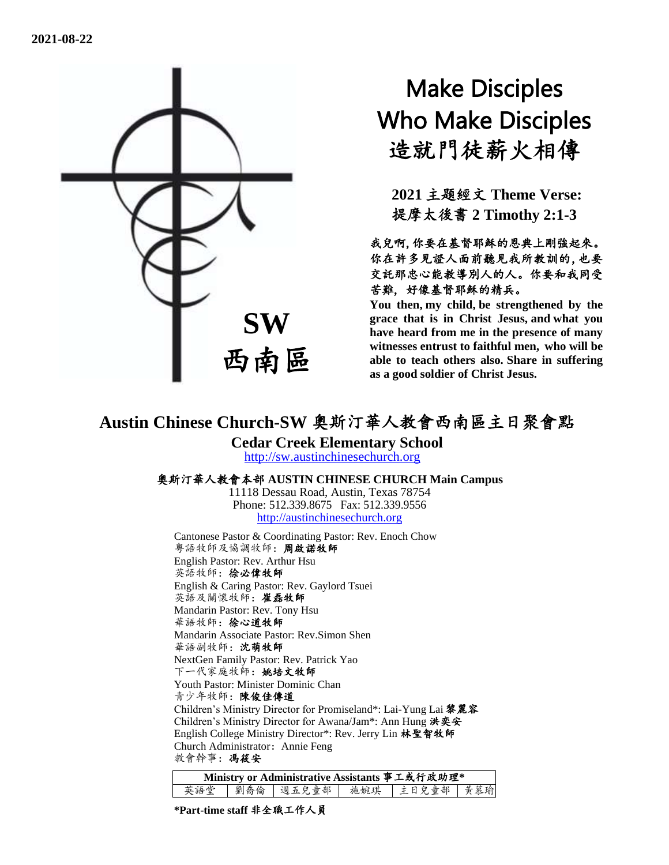

# Make Disciples Who Make Disciples 造就門徒薪火相傳

**2021** 主題經文 **Theme Verse:** 提摩太後書 **2 Timothy 2:1-3**

我兒啊,你要在基督耶穌的恩典上剛強起來。 你在許多見證人面前聽見我所教訓的,也要 交託那忠心能教導別人的人。你要和我同受 苦難, 好像基督耶穌的精兵。

**You then, my child, be strengthened by the grace that is in Christ Jesus, and what you have heard from me in the presence of many witnesses entrust to faithful men, who will be able to teach others also. Share in suffering as a good soldier of Christ Jesus.**

## **Austin Chinese Church-SW** 奧斯汀華人教會西南區主日聚會點

**Cedar Creek Elementary School**

[http://sw.austinchinesechurch.org](http://sw.austinchinesechurch.org/)

#### 奧斯汀華人教會本部 **AUSTIN CHINESE CHURCH Main Campus**

11118 Dessau Road, Austin, Texas 78754 Phone: 512.339.8675 Fax: 512.339.9556 [http://austinchinesechurch.org](http://austinchinesechurch.org/)

Cantonese Pastor & Coordinating Pastor: Rev. Enoch Chow 粵語牧師及協調牧師:周啟諾牧師 English Pastor: Rev. Arthur Hsu 英語牧師:徐必偉牧師 English & Caring Pastor: Rev. Gaylord Tsuei 英語及關懷牧師:崔磊牧師 Mandarin Pastor: Rev. Tony Hsu 華語牧師:徐心道牧師 Mandarin Associate Pastor: Rev.Simon Shen 華語副牧師:沈萌牧師 NextGen Family Pastor: Rev. Patrick Yao 下一代家庭牧師:姚培文牧師 Youth Pastor: Minister Dominic Chan 青少年牧師:陳俊佳傳道 Children's Ministry Director for Promiseland\*: Lai-Yung Lai 黎麗容 Children's Ministry Director for Awana/Jam\*: Ann Hung 洪奕安 English College Ministry Director\*: Rev. Jerry Lin 林聖智牧師 Church Administrator: Annie Feng 教會幹事:馮筱安

| Ministry or Administrative Assistants 事工或行政助理* |  |  |  |                                       |  |  |  |
|------------------------------------------------|--|--|--|---------------------------------------|--|--|--|
|                                                |  |  |  | 英語堂   劉喬倫   週五兒童部   施婉琪   主日兒童部   黃慕瑜 |  |  |  |

**\*Part-time staff** 非全職工作人員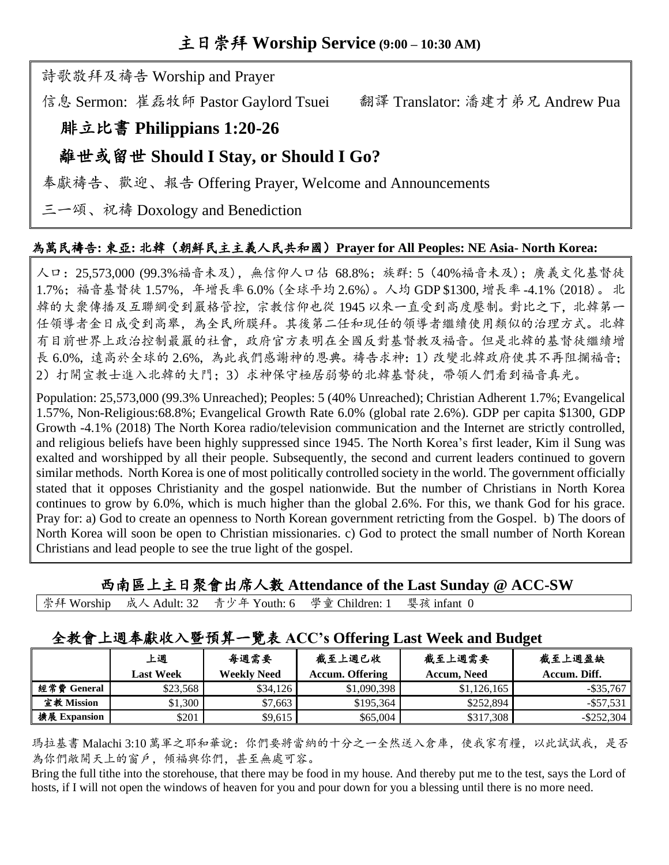詩歌敬拜及禱告 Worship and Prayer

信息 Sermon: 崔磊牧師 Pastor Gaylord Tsuei 翻譯 Translator: 潘建才弟兄 Andrew Pua

### 腓立比書 **Philippians 1:20-26**

#### 離世或留世 **Should I Stay, or Should I Go?**

奉獻禱告、歡迎、報告 Offering Prayer, Welcome and Announcements

三一頌、祝禱 Doxology and Benediction

#### 為萬民禱告**:** 東亞**:** 北韓(朝鮮民主主義人民共和國)**Prayer for All Peoples: NE Asia- North Korea:**

人口:25,573,000 (99.3%福音未及),無信仰人口佔 68.8%;族群: 5(40%福音未及);廣義文化基督徒 1.7%;福音基督徒 1.57%,年增長率 6.0% (全球平均 2.6%)。人均 GDP \$1300, 增長率 -4.1% (2018)。 北 韓的大衆傳播及互聯網受到嚴格管控,宗教信仰也從 1945 以來一直受到高度壓制。對比之下,北韓第一 任領導者金日成受到高舉,為全民所膜拜。其後第二任和現任的領導者繼續使用類似的治理方式。北韓 有目前世界上政治控制最嚴的社會,政府官方表明在全國反對基督教及福音。但是北韓的基督徒繼續增 長 6.0%,遠高於全球的 2.6%,為此我們感謝神的恩典。禱告求神:1)改變北韓政府使其不再阻攔福音; 2)打開宣教士進入北韓的大門;3)求神保守極居弱勢的北韓基督徒,帶領人們看到福音真光。

Population: 25,573,000 (99.3% Unreached); Peoples: 5 (40% Unreached); Christian Adherent 1.7%; Evangelical 1.57%, Non-Religious:68.8%; Evangelical Growth Rate 6.0% (global rate 2.6%). GDP per capita \$1300, GDP Growth -4.1% (2018) The North Korea radio/television communication and the Internet are strictly controlled, and religious beliefs have been highly suppressed since 1945. The North Korea's first leader, Kim il Sung was exalted and worshipped by all their people. Subsequently, the second and current leaders continued to govern similar methods. North Korea is one of most politically controlled society in the world. The government officially stated that it opposes Christianity and the gospel nationwide. But the number of Christians in North Korea continues to grow by 6.0%, which is much higher than the global 2.6%. For this, we thank God for his grace. Pray for: a) God to create an openness to North Korean government retricting from the Gospel. b) The doors of North Korea will soon be open to Christian missionaries. c) God to protect the small number of North Korean Christians and lead people to see the true light of the gospel.

西南區上主日聚會出席人數 **Attendance of the Last Sunday @ ACC-SW**

|  |  |  | 崇拜 Worship 成人 Adult: 32 青少年 Youth: 6 學童 Children: 1 婴孩 infant 0 |  |  |
|--|--|--|-----------------------------------------------------------------|--|--|
|--|--|--|-----------------------------------------------------------------|--|--|

#### 全教會上週奉獻收入暨預算一覽表 **ACC's Offering Last Week and Budget**

|              | 上週<br>Last Week | 每週需要<br><b>Weekly Need</b> | 截至上週已收<br><b>Accum. Offering</b> | 截至上週需要<br>Accum. Need | 截至上週盈缺<br>Accum. Diff. |
|--------------|-----------------|----------------------------|----------------------------------|-----------------------|------------------------|
| 經常費 General  | \$23,568        | \$34.126                   | \$1,090,398                      | \$1,126,165           | $-$ \$35.767           |
| 宣教 Mission   | \$1.300         | \$7,663                    | \$195,364                        | \$252.894             | $-$ \$57.531           |
| 擴展 Expansion | \$201           | \$9.615                    | \$65,004                         | \$317.308             | $-$ \$252.304          |

瑪拉基書 Malachi 3:10 萬軍之耶和華說:你們要將當納的十分之一全然送入倉庫,使我家有糧,以此試試我,是否 為你們敞開天上的窗戶,傾福與你們,甚至無處可容。

Bring the full tithe into the storehouse, that there may be food in my house. And thereby put me to the test, says the Lord of hosts, if I will not open the windows of heaven for you and pour down for you a blessing until there is no more need.